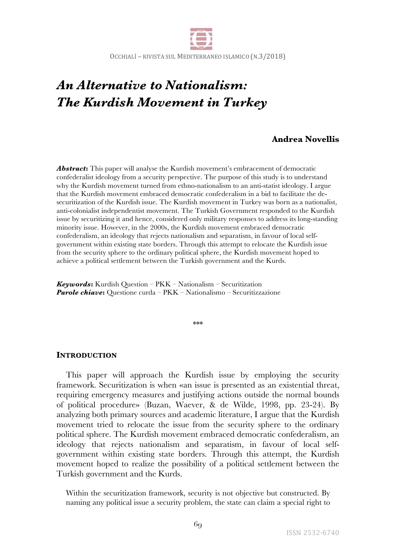

OCCHIALÌ - RIVISTA SUL MEDITERRANEO ISLAMICO (N.3/2018)

# *An Alternative to Nationalism: The Kurdish Movement in Turkey*

# **Andrea Novellis**

*Abstract***:** This paper will analyse the Kurdish movement's embracement of democratic confederalist ideology from a security perspective. The purpose of this study is to understand why the Kurdish movement turned from ethno-nationalism to an anti-statist ideology. I argue that the Kurdish movement embraced democratic confederalism in a bid to facilitate the desecuritization of the Kurdish issue. The Kurdish movement in Turkey was born as a nationalist, anti-colonialist independentist movement. The Turkish Government responded to the Kurdish issue by securitizing it and hence, considered only military responses to address its long-standing minority issue. However, in the 2000s, the Kurdish movement embraced democratic confederalism, an ideology that rejects nationalism and separatism, in favour of local selfgovernment within existing state borders. Through this attempt to relocate the Kurdish issue from the security sphere to the ordinary political sphere, the Kurdish movement hoped to achieve a political settlement between the Turkish government and the Kurds.

*Keywords***:** Kurdish Question – PKK – Nationalism – Securitization *Parole chiave***:** Questione curda – PKK – Nationalismo – Securitizzazione

\*\*\*

### **INTRODUCTION**

This paper will approach the Kurdish issue by employing the security framework. Securitization is when «an issue is presented as an existential threat, requiring emergency measures and justifying actions outside the normal bounds of political procedure» (Buzan, Waever, & de Wilde, 1998, pp. 23-24). By analyzing both primary sources and academic literature, I argue that the Kurdish movement tried to relocate the issue from the security sphere to the ordinary political sphere. The Kurdish movement embraced democratic confederalism, an ideology that rejects nationalism and separatism, in favour of local selfgovernment within existing state borders. Through this attempt, the Kurdish movement hoped to realize the possibility of a political settlement between the Turkish government and the Kurds.

Within the securitization framework, security is not objective but constructed. By naming any political issue a security problem, the state can claim a special right to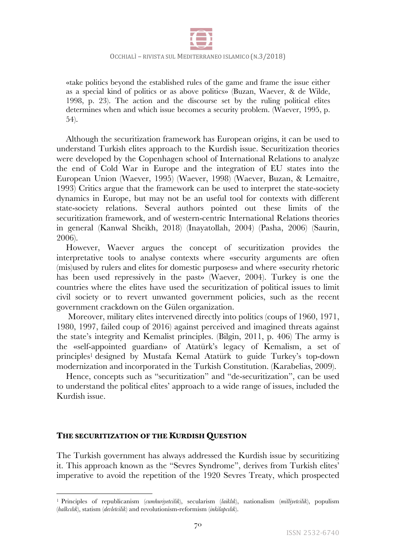

«take politics beyond the established rules of the game and frame the issue either as a special kind of politics or as above politics» (Buzan, Waever, & de Wilde, 1998, p. 23). The action and the discourse set by the ruling political elites determines when and which issue becomes a security problem. (Waever, 1995, p. 54).

Although the securitization framework has European origins, it can be used to understand Turkish elites approach to the Kurdish issue. Securitization theories were developed by the Copenhagen school of International Relations to analyze the end of Cold War in Europe and the integration of EU states into the European Union (Waever, 1995) (Waever, 1998) (Waever, Buzan, & Lemaitre, 1993) Critics argue that the framework can be used to interpret the state-society dynamics in Europe, but may not be an useful tool for contexts with different state-society relations. Several authors pointed out these limits of the securitization framework, and of western-centric International Relations theories in general (Kanwal Sheikh, 2018) (Inayatollah, 2004) (Pasha, 2006) (Saurin, 2006).

However, Waever argues the concept of securitization provides the interpretative tools to analyse contexts where «security arguments are often (mis)used by rulers and elites for domestic purposes» and where «security rhetoric has been used repressively in the past» (Waever, 2004). Turkey is one the countries where the elites have used the securitization of political issues to limit civil society or to revert unwanted government policies, such as the recent government crackdown on the Gülen organization.

Moreover, military elites intervened directly into politics (coups of 1960, 1971, 1980, 1997, failed coup of 2016) against perceived and imagined threats against the state's integrity and Kemalist principles. (Bilgin, 2011, p. 406) The army is the «self-appointed guardian» of Atatürk's legacy of Kemalism, a set of principles1 designed by Mustafa Kemal Atatürk to guide Turkey's top-down modernization and incorporated in the Turkish Constitution. (Karabelias, 2009).

Hence, concepts such as "securitization" and "de-securitization", can be used to understand the political elites' approach to a wide range of issues, included the Kurdish issue.

## **THE SECURITIZATION OF THE KURDISH QUESTION**

<u> 1989 - Johann Barn, mars ann an t-Amhain an t-Amhain an t-Amhain an t-Amhain an t-Amhain an t-Amhain an t-Amh</u>

The Turkish government has always addressed the Kurdish issue by securitizing it. This approach known as the "Sevres Syndrome", derives from Turkish elites' imperative to avoid the repetition of the 1920 Sevres Treaty, which prospected

<sup>1</sup> Principles of republicanism (*cumhuriyetcilik*), secularism (*laiklık*), nationalism (*milliyetcilik*), populism (*halkcılık*), statism (*devletcilik*) and revolutionism-reformism (*inkilapcılık*).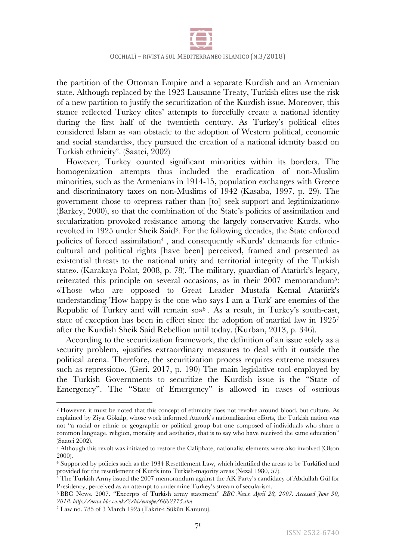

the partition of the Ottoman Empire and a separate Kurdish and an Armenian state. Although replaced by the 1923 Lausanne Treaty, Turkish elites use the risk of a new partition to justify the securitization of the Kurdish issue. Moreover, this stance reflected Turkey elites' attempts to forcefully create a national identity during the first half of the twentieth century. As Turkey's political elites considered Islam as «an obstacle to the adoption of Western political, economic and social standards», they pursued the creation of a national identity based on Turkish ethnicity2. (Saatci, 2002)

However, Turkey counted significant minorities within its borders. The homogenization attempts thus included the eradication of non-Muslim minorities, such as the Armenians in 1914-15, population exchanges with Greece and discriminatory taxes on non-Muslims of 1942 (Kasaba, 1997, p. 29). The government chose to «repress rather than [to] seek support and legitimization» (Barkey, 2000), so that the combination of the State's policies of assimilation and secularization provoked resistance among the largely conservative Kurds, who revolted in 1925 under Sheik Said3. For the following decades, the State enforced policies of forced assimilation<sup>4</sup>, and consequently «Kurds' demands for ethniccultural and political rights [have been] perceived, framed and presented as existential threats to the national unity and territorial integrity of the Turkish state». (Karakaya Polat, 2008, p. 78). The military, guardian of Atatürk's legacy, reiterated this principle on several occasions, as in their 2007 memorandum<sup>5</sup>: «Those who are opposed to Great Leader Mustafa Kemal Atatürk's understanding 'How happy is the one who says I am a Turk' are enemies of the Republic of Turkey and will remain so»6 . As a result, in Turkey's south-east, state of exception has been in effect since the adoption of martial law in 19257 after the Kurdish Sheik Said Rebellion until today. (Kurban, 2013, p. 346).

According to the securitization framework, the definition of an issue solely as a security problem, «justifies extraordinary measures to deal with it outside the political arena. Therefore, the securitization process requires extreme measures such as repression». (Geri, 2017, p. 190) The main legislative tool employed by the Turkish Governments to securitize the Kurdish issue is the "State of Emergency". The "State of Emergency" is allowed in cases of «serious

 

<sup>2</sup> However, it must be noted that this concept of ethnicity does not revolve around blood, but culture. As explained by Ziya Gökalp, whose work informed Ataturk's nationalization efforts, the Turkish nation was not "a racial or ethnic or geographic or political group but one composed of individuals who share a common language, religion, morality and aesthetics, that is to say who have received the same education" (Saatci 2002).

 $\frac{3}{3}$  Although this revolt was initiated to restore the Caliphate, nationalist elements were also involved (Olson 2000).

<sup>4</sup> Supported by policies such as the 1934 Resettlement Law, which identified the areas to be Turkified and provided for the resettlement of Kurds into Turkish-majority areas (Nezal 1980, 57).

<sup>&</sup>lt;sup>5</sup> The Turkish Army issued the 2007 memorandum against the AK Party's candidacy of Abdullah Gül for Presidency, perceived as an attempt to undermine Turkey's stream of secularism.

<sup>6</sup> BBC News. 2007. "Excerpts of Turkish army statement" *BBC News. April 28, 2007. Accessed June 30, 2018. http://news.bbc.co.uk/2/hi/europe/6602775.stm*

<sup>7</sup> Law no. 785 of 3 March 1925 (Takrir-i Sükûn Kanunu).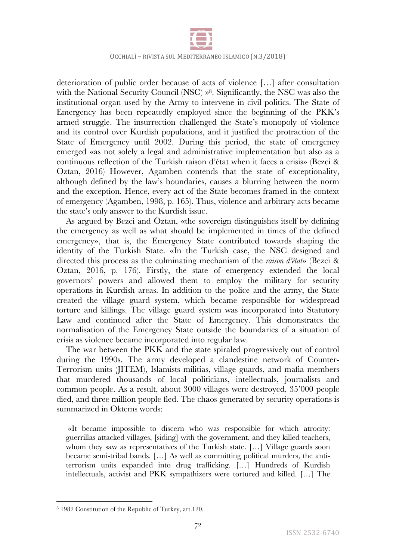

#### OCCHIALÌ - RIVISTA SUL MEDITERRANEO ISLAMICO (N.3/2018)

deterioration of public order because of acts of violence […] after consultation with the National Security Council (NSC) »<sup>8</sup>. Significantly, the NSC was also the institutional organ used by the Army to intervene in civil politics. The State of Emergency has been repeatedly employed since the beginning of the PKK's armed struggle. The insurrection challenged the State's monopoly of violence and its control over Kurdish populations, and it justified the protraction of the State of Emergency until 2002. During this period, the state of emergency emerged «as not solely a legal and administrative implementation but also as a continuous reflection of the Turkish raison d'état when it faces a crisis» (Bezci & Oztan, 2016) However, Agamben contends that the state of exceptionality, although defined by the law's boundaries, causes a blurring between the norm and the exception. Hence, every act of the State becomes framed in the context of emergency (Agamben, 1998, p. 165). Thus, violence and arbitrary acts became the state's only answer to the Kurdish issue.

As argued by Bezci and Öztan, «the sovereign distinguishes itself by defining the emergency as well as what should be implemented in times of the defined emergency», that is, the Emergency State contributed towards shaping the identity of the Turkish State. «In the Turkish case, the NSC designed and directed this process as the culminating mechanism of the *raison d'état*» (Bezci & Oztan, 2016, p. 176). Firstly, the state of emergency extended the local governors' powers and allowed them to employ the military for security operations in Kurdish areas. In addition to the police and the army, the State created the village guard system, which became responsible for widespread torture and killings. The village guard system was incorporated into Statutory Law and continued after the State of Emergency. This demonstrates the normalisation of the Emergency State outside the boundaries of a situation of crisis as violence became incorporated into regular law.

The war between the PKK and the state spiraled progressively out of control during the 1990s. The army developed a clandestine network of Counter-Terrorism units (JITEM), Islamists militias, village guards, and mafia members that murdered thousands of local politicians, intellectuals, journalists and common people. As a result, about 3000 villages were destroyed, 35'000 people died, and three million people fled. The chaos generated by security operations is summarized in Oktems words:

«It became impossible to discern who was responsible for which atrocity: guerrillas attacked villages, [siding] with the government, and they killed teachers, whom they saw as representatives of the Turkish state. […] Village guards soon became semi-tribal bands. […] As well as committing political murders, the antiterrorism units expanded into drug trafficking. […] Hundreds of Kurdish intellectuals, activist and PKK sympathizers were tortured and killed. […] The

<sup>8</sup> 1982 Constitution of the Republic of Turkey, art.120.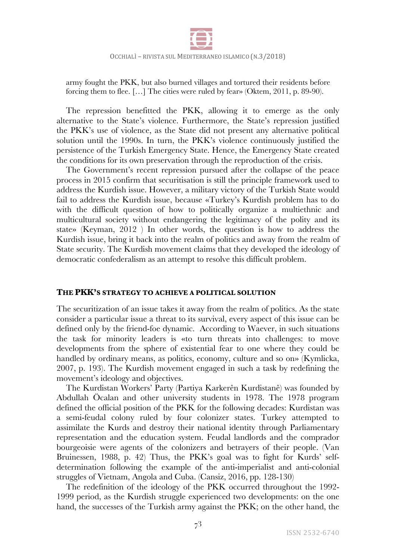

army fought the PKK, but also burned villages and tortured their residents before forcing them to flee. […] The cities were ruled by fear» (Oktem, 2011, p. 89-90).

The repression benefitted the PKK, allowing it to emerge as the only alternative to the State's violence. Furthermore, the State's repression justified the PKK's use of violence, as the State did not present any alternative political solution until the 1990s. In turn, the PKK's violence continuously justified the persistence of the Turkish Emergency State. Hence, the Emergency State created the conditions for its own preservation through the reproduction of the crisis.

The Government's recent repression pursued after the collapse of the peace process in 2015 confirm that securitisation is still the principle framework used to address the Kurdish issue. However, a military victory of the Turkish State would fail to address the Kurdish issue, because «Turkey's Kurdish problem has to do with the difficult question of how to politically organize a multiethnic and multicultural society without endangering the legitimacy of the polity and its state» (Keyman, 2012 ) In other words, the question is how to address the Kurdish issue, bring it back into the realm of politics and away from the realm of State security. The Kurdish movement claims that they developed the ideology of democratic confederalism as an attempt to resolve this difficult problem.

## **THE PKK'S STRATEGY TO ACHIEVE A POLITICAL SOLUTION**

The securitization of an issue takes it away from the realm of politics. As the state consider a particular issue a threat to its survival, every aspect of this issue can be defined only by the friend-foe dynamic. According to Waever, in such situations the task for minority leaders is «to turn threats into challenges: to move developments from the sphere of existential fear to one where they could be handled by ordinary means, as politics, economy, culture and so on» (Kymlicka, 2007, p. 193). The Kurdish movement engaged in such a task by redefining the movement's ideology and objectives.

The Kurdistan Workers' Party (Partiya Karkerên Kurdistanê) was founded by Abdullah Öcalan and other university students in 1978. The 1978 program defined the official position of the PKK for the following decades: Kurdistan was a semi-feudal colony ruled by four colonizer states. Turkey attempted to assimilate the Kurds and destroy their national identity through Parliamentary representation and the education system. Feudal landlords and the comprador bourgeoisie were agents of the colonizers and betrayers of their people. (Van Bruinessen, 1988, p. 42) Thus, the PKK's goal was to fight for Kurds' selfdetermination following the example of the anti-imperialist and anti-colonial struggles of Vietnam, Angola and Cuba. (Cansiz, 2016, pp. 128-130)

The redefinition of the ideology of the PKK occurred throughout the 1992- 1999 period, as the Kurdish struggle experienced two developments: on the one hand, the successes of the Turkish army against the PKK; on the other hand, the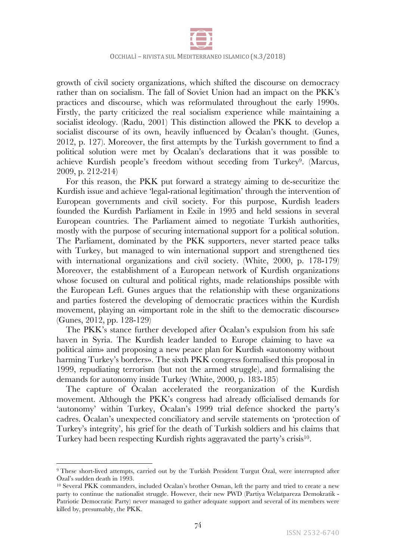

growth of civil society organizations, which shifted the discourse on democracy rather than on socialism. The fall of Soviet Union had an impact on the PKK's practices and discourse, which was reformulated throughout the early 1990s. Firstly, the party criticized the real socialism experience while maintaining a socialist ideology. (Radu, 2001) This distinction allowed the PKK to develop a socialist discourse of its own, heavily influenced by Öcalan's thought. (Gunes, 2012, p. 127). Moreover, the first attempts by the Turkish government to find a political solution were met by Öcalan's declarations that it was possible to achieve Kurdish people's freedom without seceding from Turkey<sup>9</sup>. (Marcus, 2009, p. 212-214)

For this reason, the PKK put forward a strategy aiming to de-securitize the Kurdish issue and achieve 'legal-rational legitimation' through the intervention of European governments and civil society. For this purpose, Kurdish leaders founded the Kurdish Parliament in Exile in 1995 and held sessions in several European countries. The Parliament aimed to negotiate Turkish authorities, mostly with the purpose of securing international support for a political solution. The Parliament, dominated by the PKK supporters, never started peace talks with Turkey, but managed to win international support and strengthened ties with international organizations and civil society. (White, 2000, p. 178-179) Moreover, the establishment of a European network of Kurdish organizations whose focused on cultural and political rights, made relationships possible with the European Left. Gunes argues that the relationship with these organizations and parties fostered the developing of democratic practices within the Kurdish movement, playing an «important role in the shift to the democratic discourse» (Gunes, 2012, pp. 128-129)

The PKK's stance further developed after Öcalan's expulsion from his safe haven in Syria. The Kurdish leader landed to Europe claiming to have «a political aim» and proposing a new peace plan for Kurdish «autonomy without harming Turkey's borders». The sixth PKK congress formalised this proposal in 1999, repudiating terrorism (but not the armed struggle), and formalising the demands for autonomy inside Turkey (White, 2000, p. 183-185)

The capture of Öcalan accelerated the reorganization of the Kurdish movement. Although the PKK's congress had already officialised demands for 'autonomy' within Turkey, Öcalan's 1999 trial defence shocked the party's cadres. Öcalan's unexpected conciliatory and servile statements on 'protection of Turkey's integrity', his grief for the death of Turkish soldiers and his claims that Turkey had been respecting Kurdish rights aggravated the party's crisis<sup>10</sup>.

<u> 1989 - Johann Barn, mars eta bainar eta industrial eta baina eta baina eta baina eta baina eta baina eta bain</u>

<sup>&</sup>lt;sup>9</sup> These short-lived attempts, carried out by the Turkish President Turgut Özal, were interrupted after Özal's sudden death in 1993.

<sup>10</sup> Several PKK commanders, included Ocalan's brother Osman, left the party and tried to create a new party to continue the nationalist struggle. However, their new PWD (Partiya Welatpareza Demokratik - Patriotic Democratic Party) never managed to gather adequate support and several of its members were killed by, presumably, the PKK.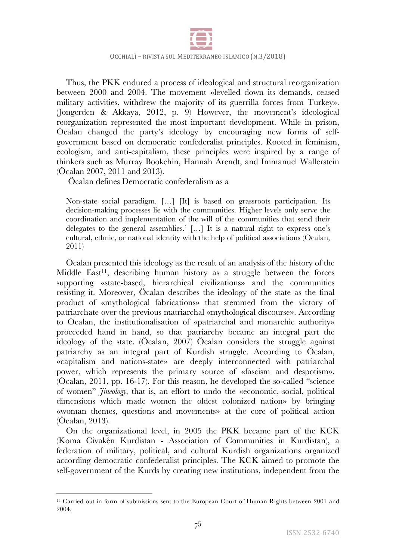

Thus, the PKK endured a process of ideological and structural reorganization between 2000 and 2004. The movement «levelled down its demands, ceased military activities, withdrew the majority of its guerrilla forces from Turkey». (Jongerden & Akkaya, 2012, p. 9) However, the movement's ideological reorganization represented the most important development. While in prison, Öcalan changed the party's ideology by encouraging new forms of selfgovernment based on democratic confederalist principles. Rooted in feminism, ecologism, and anti-capitalism, these principles were inspired by a range of thinkers such as Murray Bookchin, Hannah Arendt, and Immanuel Wallerstein (Öcalan 2007, 2011 and 2013).

Öcalan defines Democratic confederalism as a

Non-state social paradigm. […] [It] is based on grassroots participation. Its decision-making processes lie with the communities. Higher levels only serve the coordination and implementation of the will of the communities that send their delegates to the general assemblies.' […] It is a natural right to express one's cultural, ethnic, or national identity with the help of political associations (Ocalan, 2011)

Öcalan presented this ideology as the result of an analysis of the history of the Middle East<sup>11</sup>, describing human history as a struggle between the forces supporting «state-based, hierarchical civilizations» and the communities resisting it. Moreover, Öcalan describes the ideology of the state as the final product of «mythological fabrications» that stemmed from the victory of patriarchate over the previous matriarchal «mythological discourse». According to Öcalan, the institutionalisation of «patriarchal and monarchic authority» proceeded hand in hand, so that patriarchy became an integral part the ideology of the state. (Öcalan, 2007) Öcalan considers the struggle against patriarchy as an integral part of Kurdish struggle. According to Öcalan, «capitalism and nations-state» are deeply interconnected with patriarchal power, which represents the primary source of «fascism and despotism». (Öcalan, 2011, pp. 16-17). For this reason, he developed the so-called "science of women" *Jineology,* that is, an effort to undo the «economic, social, political dimensions which made women the oldest colonized nation» by bringing «woman themes, questions and movements» at the core of political action (Öcalan, 2013).

On the organizational level, in 2005 the PKK became part of the KCK (Koma Civakên Kurdistan - Association of Communities in Kurdistan), a federation of military, political, and cultural Kurdish organizations organized according democratic confederalist principles. The KCK aimed to promote the self-government of the Kurds by creating new institutions, independent from the

<sup>11</sup> Carried out in form of submissions sent to the European Court of Human Rights between 2001 and 2004.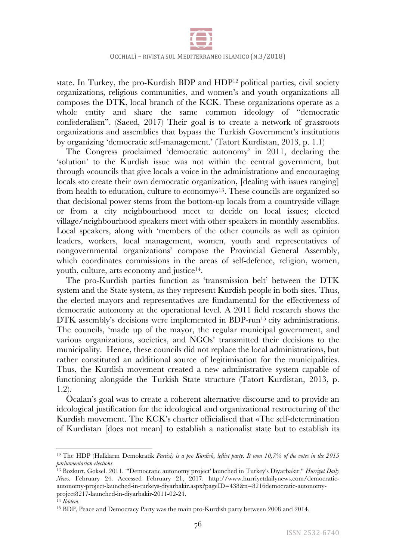

state. In Turkey, the pro-Kurdish BDP and HDP12 political parties, civil society organizations, religious communities, and women's and youth organizations all composes the DTK, local branch of the KCK. These organizations operate as a whole entity and share the same common ideology of "democratic confederalism". (Saeed, 2017) Their goal is to create a network of grassroots organizations and assemblies that bypass the Turkish Government's institutions by organizing 'democratic self-management.' (Tatort Kurdistan, 2013, p. 1.1)

The Congress proclaimed 'democratic autonomy' in 2011, declaring the 'solution' to the Kurdish issue was not within the central government, but through «councils that give locals a voice in the administration» and encouraging locals «to create their own democratic organization, [dealing with issues ranging] from health to education, culture to economy»13. These councils are organized so that decisional power stems from the bottom-up locals from a countryside village or from a city neighbourhood meet to decide on local issues; elected village/neighbourhood speakers meet with other speakers in monthly assemblies. Local speakers, along with 'members of the other councils as well as opinion leaders, workers, local management, women, youth and representatives of nongovernmental organizations' compose the Provincial General Assembly, which coordinates commissions in the areas of self-defence, religion, women, youth, culture, arts economy and justice<sup>14</sup>.

The pro-Kurdish parties function as 'transmission belt' between the DTK system and the State system, as they represent Kurdish people in both sites. Thus, the elected mayors and representatives are fundamental for the effectiveness of democratic autonomy at the operational level. A 2011 field research shows the DTK assembly's decisions were implemented in BDP-run<sup>15</sup> city administrations. The councils, 'made up of the mayor, the regular municipal government, and various organizations, societies, and NGOs' transmitted their decisions to the municipality. Hence, these councils did not replace the local administrations, but rather constituted an additional source of legitimisation for the municipalities. Thus, the Kurdish movement created a new administrative system capable of functioning alongside the Turkish State structure (Tatort Kurdistan, 2013, p. 1.2).

Öcalan's goal was to create a coherent alternative discourse and to provide an ideological justification for the ideological and organizational restructuring of the Kurdish movement. The KCK's charter officialised that «The self-determination of Kurdistan [does not mean] to establish a nationalist state but to establish its

<sup>12</sup> The HDP (Halkların Demokratik *Partisi) is a pro-Kurdish, leftist party. It won 10,7% of the votes in the 2015 parliamentarian elections.*

<sup>13</sup> Bozkurt, Goksel. 2011. "'Democratic autonomy project' launched in Turkey's Diyarbakır." *Hurriyet Daily News.* February 24. Accessed February 21, 2017. http://www.hurriyetdailynews.com/democraticautonomy-project-launched-in-turkeys-diyarbakir.aspx?pageID=438&n=8216democratic-autonomyproject8217-launched-in-diyarbakir-2011-02-24.

<sup>14</sup> *Ibidem.*

<sup>15</sup> BDP, Peace and Democracy Party was the main pro-Kurdish party between 2008 and 2014.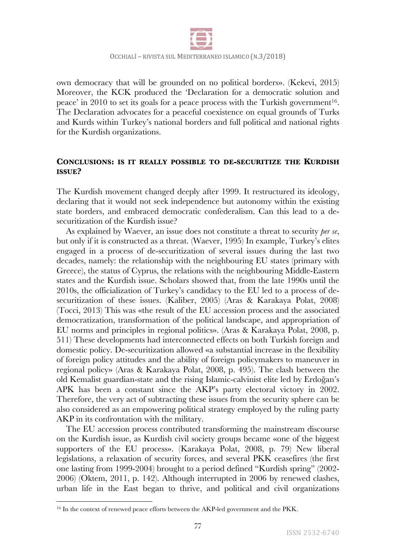

own democracy that will be grounded on no political borders». (Kekevi, 2015) Moreover, the KCK produced the 'Declaration for a democratic solution and peace' in 2010 to set its goals for a peace process with the Turkish government<sup>16</sup>. The Declaration advocates for a peaceful coexistence on equal grounds of Turks and Kurds within Turkey's national borders and full political and national rights for the Kurdish organizations.

# **CONCLUSIONS: IS IT REALLY POSSIBLE TO DE-SECURITIZE THE KURDISH ISSUE?**

The Kurdish movement changed deeply after 1999. It restructured its ideology, declaring that it would not seek independence but autonomy within the existing state borders, and embraced democratic confederalism. Can this lead to a desecuritization of the Kurdish issue?

As explained by Waever, an issue does not constitute a threat to security *per se*, but only if it is constructed as a threat. (Waever, 1995) In example, Turkey's elites engaged in a process of de-securitization of several issues during the last two decades, namely: the relationship with the neighbouring EU states (primary with Greece), the status of Cyprus, the relations with the neighbouring Middle-Eastern states and the Kurdish issue. Scholars showed that, from the late 1990s until the 2010s, the officialization of Turkey's candidacy to the EU led to a process of desecuritization of these issues. (Kaliber, 2005) (Aras & Karakaya Polat, 2008) (Tocci, 2013) This was «the result of the EU accession process and the associated democratization, transformation of the political landscape, and appropriation of EU norms and principles in regional politics». (Aras & Karakaya Polat, 2008, p. 511) These developments had interconnected effects on both Turkish foreign and domestic policy. De-securitization allowed «a substantial increase in the flexibility of foreign policy attitudes and the ability of foreign policymakers to maneuver in regional policy» (Aras & Karakaya Polat, 2008, p. 495). The clash between the old Kemalist guardian-state and the rising Islamic-calvinist elite led by Erdoğan's APK has been a constant since the AKP's party electoral victory in 2002. Therefore, the very act of subtracting these issues from the security sphere can be also considered as an empowering political strategy employed by the ruling party AKP in its confrontation with the military.

The EU accession process contributed transforming the mainstream discourse on the Kurdish issue, as Kurdish civil society groups became «one of the biggest supporters of the EU process». (Karakaya Polat, 2008, p. 79) New liberal legislations, a relaxation of security forces, and several PKK ceasefires (the first one lasting from 1999-2004) brought to a period defined "Kurdish spring" (2002- 2006) (Oktem, 2011, p. 142). Although interrupted in 2006 by renewed clashes, urban life in the East began to thrive, and political and civil organizations

<sup>&</sup>lt;sup>16</sup> In the context of renewed peace efforts between the AKP-led government and the PKK.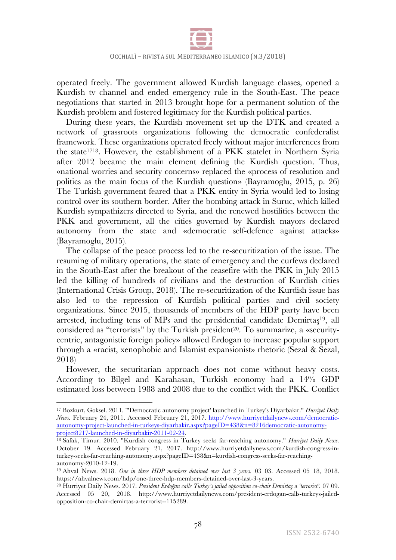

operated freely. The government allowed Kurdish language classes, opened a Kurdish tv channel and ended emergency rule in the South-East. The peace negotiations that started in 2013 brought hope for a permanent solution of the Kurdish problem and fostered legitimacy for the Kurdish political parties.

During these years, the Kurdish movement set up the DTK and created a network of grassroots organizations following the democratic confederalist framework. These organizations operated freely without major interferences from the state1718. However, the establishment of a PKK statelet in Northern Syria after 2012 became the main element defining the Kurdish question. Thus, «national worries and security concerns» replaced the «process of resolution and politics as the main focus of the Kurdish question» (Bayramoglu, 2015, p. 26) The Turkish government feared that a PKK entity in Syria would led to losing control over its southern border. After the bombing attack in Suruc, which killed Kurdish sympathizers directed to Syria, and the renewed hostilities between the PKK and government, all the cities governed by Kurdish mayors declared autonomy from the state and «democratic self-defence against attacks» (Bayramoglu, 2015).

The collapse of the peace process led to the re-securitization of the issue. The resuming of military operations, the state of emergency and the curfews declared in the South-East after the breakout of the ceasefire with the PKK in July 2015 led the killing of hundreds of civilians and the destruction of Kurdish cities (International Crisis Group, 2018). The re-securitization of the Kurdish issue has also led to the repression of Kurdish political parties and civil society organizations. Since 2015, thousands of members of the HDP party have been arrested, including tens of MPs and the presidential candidate Demirtaş19, all considered as "terrorists" by the Turkish president<sup>20</sup>. To summarize, a «securitycentric, antagonistic foreign policy» allowed Erdogan to increase popular support through a «racist, xenophobic and Islamist expansionist» rhetoric (Sezal & Sezal, 2018)

However, the securitarian approach does not come without heavy costs. According to Bilgel and Karahasan, Turkish economy had a 14% GDP estimated loss between 1988 and 2008 due to the conflict with the PKK. Conflict

 

<sup>17</sup> Bozkurt, Goksel. 2011. "'Democratic autonomy project' launched in Turkey's Diyarbakır." *Hurriyet Daily News.* February 24, 2011. Accessed February 21, 2017. http://www.hurriyetdailynews.com/democraticautonomy-project-launched-in-turkeys-diyarbakir.aspx?pageID=438&n=8216democratic-autonomyproject8217-launched-in-diyarbakir-2011-02-24.

<sup>18</sup> Safak, Timur. 2010. "Kurdish congress in Turkey seeks far-reaching autonomy." *Hurriyet Daily News.* October 19. Accessed February 21, 2017. http://www.hurriyetdailynews.com/kurdish-congress-inturkey-seeks-far-reaching-autonomy.aspx?pageID=438&n=kurdish-congress-seeks-far-reachingautonomy-2010-12-19.

<sup>19</sup> Ahval News. 2018. *One in three HDP members detained over last 3 years.* 03 03. Accessed 05 18, 2018. https://ahvalnews.com/hdp/one-three-hdp-members-detained-over-last-3-years.

<sup>20</sup> Hurriyet Daily News. 2017. *President Erdoğan calls Turkey's jailed opposition co-chair Demirtaş a 'terrorist'.* 07 09. Accessed 05 20, 2018. http://www.hurriyetdailynews.com/president-erdogan-calls-turkeys-jailedopposition-co-chair-demirtas-a-terrorist--115289.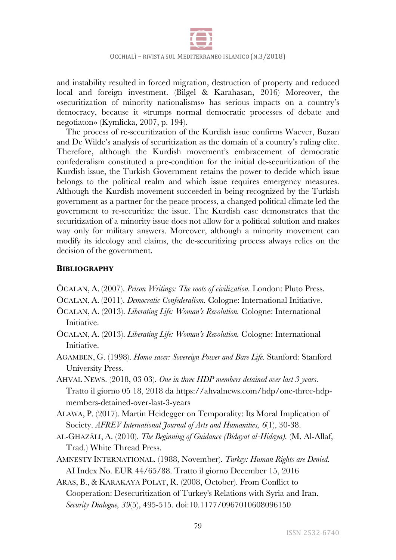

and instability resulted in forced migration, destruction of property and reduced local and foreign investment. (Bilgel & Karahasan, 2016) Moreover, the «securitization of minority nationalisms» has serious impacts on a country's democracy, because it «trumps normal democratic processes of debate and negotiaton» (Kymlicka, 2007, p. 194).

The process of re-securitization of the Kurdish issue confirms Waever, Buzan and De Wilde's analysis of securitization as the domain of a country's ruling elite. Therefore, although the Kurdish movement's embracement of democratic confederalism constituted a pre-condition for the initial de-securitization of the Kurdish issue, the Turkish Government retains the power to decide which issue belongs to the political realm and which issue requires emergency measures. Although the Kurdish movement succeeded in being recognized by the Turkish government as a partner for the peace process, a changed political climate led the government to re-securitize the issue. The Kurdish case demonstrates that the securitization of a minority issue does not allow for a political solution and makes way only for military answers. Moreover, although a minority movement can modify its ideology and claims, the de-securitizing process always relies on the decision of the government.

# **BIBLIOGRAPHY**

- ÖCALAN, A. (2007). *Prison Writings: The roots of civilization.* London: Pluto Press.
- ÖCALAN, A. (2011). *Democratic Confederalism.* Cologne: International Initiative.
- ÖCALAN, A. (2013). *Liberating Life: Woman's Revolution.* Cologne: International Initiative.
- ÖCALAN, A. (2013). *Liberating Life: Woman's Revolution.* Cologne: International Initiative.
- AGAMBEN, G. (1998). *Homo sacer: Sovereign Power and Bare Life.* Stanford: Stanford University Press.
- AHVAL NEWS. (2018, 03 03). *One in three HDP members detained over last 3 years*. Tratto il giorno 05 18, 2018 da https://ahvalnews.com/hdp/one-three-hdpmembers-detained-over-last-3-years
- ALAWA, P. (2017). Martin Heidegger on Temporality: Its Moral Implication of Society. *AFREV International Journal of Arts and Humanities, 6*(1), 30-38.
- AL-GHAZĀLI, A. (2010). *The Beginning of Guidance (Bidayat al-Hidaya).* (M. Al-Allaf, Trad.) White Thread Press.
- AMNESTY INTERNATIONAL. (1988, November). *Turkey: Human Rights are Denied.* AI Index No. EUR 44/65/88. Tratto il giorno December 15, 2016
- ARAS, B., & KARAKAYA POLAT, R. (2008, October). From Conflict to Cooperation: Desecuritization of Turkey's Relations with Syria and Iran. *Security Dialogue, 39*(5), 495-515. doi:10.1177/0967010608096150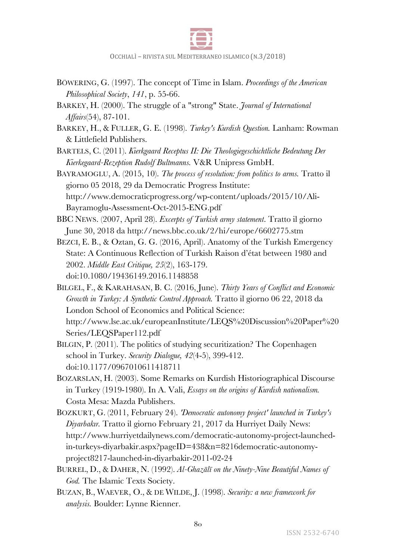

- BÖWERING, G. (1997). The concept of Time in Islam. *Proceedings of the American Philosophical Society*, *141*, p. 55-66.
- BARKEY, H. (2000). The struggle of a "strong" State. *Journal of International Affairs*(54), 87-101.
- BARKEY, H., & FULLER, G. E. (1998). *Turkey's Kurdish Question.* Lanham: Rowman & Littlefield Publishers.

BARTELS, C. (2011). *Kierkgaard Receptus II: Die Theologiegeschichtliche Bedeutung Der Kierkegaard-Rezeption Rudolf Bultmanns.* V&R Unipress GmbH.

BAYRAMOGLU, A. (2015, 10). *The process of resolution: from politics to arms.* Tratto il giorno 05 2018, 29 da Democratic Progress Institute: http://www.democraticprogress.org/wp-content/uploads/2015/10/Ali-Bayramoglu-Assessment-Oct-2015-ENG.pdf

BBC NEWS. (2007, April 28). *Excerpts of Turkish army statement*. Tratto il giorno June 30, 2018 da http://news.bbc.co.uk/2/hi/europe/6602775.stm

BEZCI, E. B., & Oztan, G. G. (2016, April). Anatomy of the Turkish Emergency State: A Continuous Reflection of Turkish Raison d'état between 1980 and 2002. *Middle East Critique, 25*(2), 163-179. doi:10.1080/19436149.2016.1148858

BILGEL, F., & KARAHASAN, B. C. (2016, June). *Thirty Years of Conflict and Economic Growth in Turkey: A Synthetic Control Approach.* Tratto il giorno 06 22, 2018 da London School of Economics and Political Science: http://www.lse.ac.uk/europeanInstitute/LEQS%20Discussion%20Paper%20 Series/LEQSPaper112.pdf

BILGIN, P. (2011). The politics of studying securitization? The Copenhagen school in Turkey. *Security Dialogue, 42*(4-5), 399-412. doi:10.1177/0967010611418711

BOZARSLAN, H. (2003). Some Remarks on Kurdish Historiographical Discourse in Turkey (1919-1980). In A. Vali, *Essays on the origins of Kurdish nationalism.* Costa Mesa: Mazda Publishers.

BOZKURT, G. (2011, February 24). *'Democratic autonomy project' launched in Turkey's Diyarbakır.* Tratto il giorno February 21, 2017 da Hurriyet Daily News: http://www.hurriyetdailynews.com/democratic-autonomy-project-launchedin-turkeys-diyarbakir.aspx?pageID=438&n=8216democratic-autonomyproject8217-launched-in-diyarbakir-2011-02-24

BURREL, D., & DAHER, N. (1992). *Al-Ghazālī on the Ninety-Nine Beautiful Names of God.* The Islamic Texts Society.

BUZAN, B., WAEVER, O., & DE WILDE, J. (1998). *Security: a new framework for analysis.* Boulder: Lynne Rienner.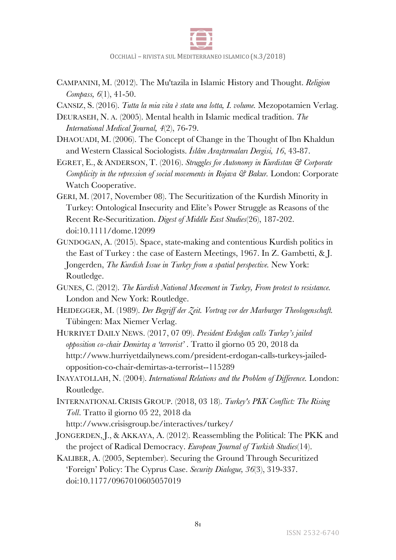

CAMPANINI, M. (2012). The Mu'tazila in Islamic History and Thought. *Religion Compass, 6*(1), 41-50.

CANSIZ, S. (2016). *Tutta la mia vita è stata una lotta, I. volume.* Mezopotamien Verlag.

- DEURASEH, N. A. (2005). Mental health in Islamic medical tradition. *The International Medical Journal, 4*(2), 76-79.
- DHAOUADI, M. (2006). The Concept of Change in the Thought of Ibn Khaldun and Western Classical Sociologists. *İslâm Araştırmaları Dergisi, 16*, 43-87.
- EGRET, E., & ANDERSON, T. (2016). *Struggles for Autonomy in Kurdistan & Corporate Complicity in the repression of social movements in Rojava & Bakur.* London: Corporate Watch Cooperative.
- GERI, M. (2017, November 08). The Securitization of the Kurdish Minority in Turkey: Ontological Insecurity and Elite's Power Struggle as Reasons of the Recent Re-Securitization. *Digest of Middle East Studies*(26), 187-202. doi:10.1111/dome.12099
- GUNDOGAN, A. (2015). Space, state-making and contentious Kurdish politics in the East of Turkey : the case of Eastern Meetings, 1967. In Z. Gambetti, & J. Jongerden, *The Kurdish Issue in Turkey from a spatial perspective.* New York: Routledge.
- GUNES, C. (2012). *The Kurdish National Movement in Turkey, From protest to resistance.* London and New York: Routledge.
- HEIDEGGER, M. (1989). *Der Begriff der Zeit. Vortrag vor der Marburger Theologenschaft.* Tübingen: Max Niemer Verlag.
- HURRIYET DAILY NEWS. (2017, 07 09). *President Erdoğan calls Turkey's jailed opposition co-chair Demirtaş a 'terrorist'* . Tratto il giorno 05 20, 2018 da http://www.hurriyetdailynews.com/president-erdogan-calls-turkeys-jailedopposition-co-chair-demirtas-a-terrorist--115289
- INAYATOLLAH, N. (2004). *International Relations and the Problem of Difference.* London: Routledge.
- INTERNATIONAL CRISIS GROUP. (2018, 03 18). *Turkey's PKK Conflict: The Rising Toll*. Tratto il giorno 05 22, 2018 da

http://www.crisisgroup.be/interactives/turkey/

- JONGERDEN, J., & AKKAYA, A. (2012). Reassembling the Political: The PKK and the project of Radical Democracy. *European Journal of Turkish Studies*(14).
- KALIBER, A. (2005, September). Securing the Ground Through Securitized 'Foreign' Policy: The Cyprus Case. *Security Dialogue, 36*(3), 319-337. doi:10.1177/0967010605057019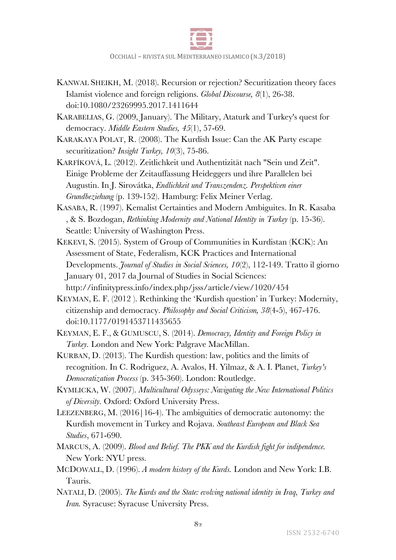

- KANWAL SHEIKH, M. (2018). Recursion or rejection? Securitization theory faces Islamist violence and foreign religions. *Global Discourse, 8*(1), 26-38. doi:10.1080/23269995.2017.1411644
- KARABELIAS, G. (2009, January). The Military, Ataturk and Turkey's quest for democracy. *Middle Eastern Studies, 45*(1), 57-69.
- KARAKAYA POLAT, R. (2008). The Kurdish Issue: Can the AK Party escape securitization? *Insight Turkey, 10*(3), 75-86.
- KARFÍKOVÁ, L. (2012). Zeitlichkeit und Authentizität nach "Sein und Zeit". Einige Probleme der Zeitauffassung Heideggers und ihre Parallelen bei Augustin. In J. Sirovátka, *Endlichkeit und Transzendenz. Perspektiven einer Grundbeziehung* (p. 139-152). Hamburg: Felix Meiner Verlag.
- KASABA, R. (1997). Kemalist Certainties and Modern Ambiguites. In R. Kasaba , & S. Bozdogan, *Rethinking Modernity and National Identity in Turkey* (p. 15-36). Seattle: University of Washington Press.
- KEKEVI, S. (2015). System of Group of Communities in Kurdistan (KCK): An Assessment of State, Federalism, KCK Practices and International Developments. *Journal of Studies in Social Sciences, 10*(2), 112-149. Tratto il giorno January 01, 2017 da Journal of Studies in Social Sciences: http://infinitypress.info/index.php/jsss/article/view/1020/454
- KEYMAN, E. F. (2012 ). Rethinking the 'Kurdish question' in Turkey: Modernity, citizenship and democracy. *Philosophy and Social Criticism, 38*(4-5), 467-476. doi:10.1177/0191453711435655
- KEYMAN, E. F., & GUMUSCU, S. (2014). *Democracy, Identity and Foreign Policy in Turkey.* London and New York: Palgrave MacMillan.
- KURBAN, D. (2013). The Kurdish question: law, politics and the limits of recognition. In C. Rodriguez, A. Avalos, H. Yilmaz, & A. I. Planet, *Turkey's Democratization Process* (p. 345-360). London: Routledge.
- KYMLICKA, W. (2007). *Multicultural Odysseys: Navigating the New International Politics of Diversity.* Oxford: Oxford University Press.
- LEEZENBERG, M. (2016|16-4). The ambiguities of democratic autonomy: the Kurdish movement in Turkey and Rojava. *Southeast European and Black Sea Studies*, 671-690.
- MARCUS, A. (2009). *Blood and Belief. The PKK and the Kurdish fight for indipendence.* New York: NYU press.
- MCDOWALL, D. (1996). *A modern history of the Kurds.* London and New York: I.B. Tauris.
- NATALI, D. (2005). *The Kurds and the State: evolving national identity in Iraq, Turkey and Iran.* Syracuse: Syracuse University Press.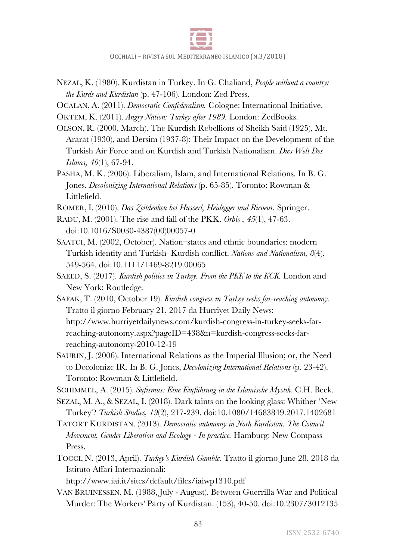

- NEZAL, K. (1980). Kurdistan in Turkey. In G. Chaliand, *People without a country: the Kurds and Kurdistan* (p. 47-106). London: Zed Press.
- OCALAN, A. (2011). *Democratic Confederalism.* Cologne: International Initiative.
- OKTEM, K. (2011). *Angry Nation: Turkey after 1989.* London: ZedBooks.
- OLSON, R. (2000, March). The Kurdish Rebellions of Sheikh Said (1925), Mt. Ararat (1930), and Dersim (1937-8): Their Impact on the Development of the Turkish Air Force and on Kurdish and Turkish Nationalism. *Dies Welt Des Islams, 40*(1), 67-94.
- PASHA, M. K. (2006). Liberalism, Islam, and International Relations. In B. G. Jones, *Decolonizing International Relations* (p. 65-85). Toronto: Rowman & Littlefield.
- RÖMER, I. (2010). *Das Zeitdenken bei Husserl, Heidegger und Ricoeur.* Springer.
- RADU, M. (2001). The rise and fall of the PKK. *Orbis , 45*(1), 47-63. doi:10.1016/S0030-4387(00)00057-0
- SAATCI, M. (2002, October). Nation–states and ethnic boundaries: modern Turkish identity and Turkish–Kurdish conflict. *Nations and Nationalism, 8*(4), 549-564. doi:10.1111/1469-8219.00065
- SAEED, S. (2017). *Kurdish politics in Turkey. From the PKK to the KCK.* London and New York: Routledge.
- SAFAK, T. (2010, October 19). *Kurdish congress in Turkey seeks far-reaching autonomy.* Tratto il giorno February 21, 2017 da Hurriyet Daily News: http://www.hurriyetdailynews.com/kurdish-congress-in-turkey-seeks-farreaching-autonomy.aspx?pageID=438&n=kurdish-congress-seeks-farreaching-autonomy-2010-12-19
- SAURIN, J. (2006). International Relations as the Imperial Illusion; or, the Need to Decolonize IR. In B. G. Jones, *Decolonizing International Relations* (p. 23-42). Toronto: Rowman & Littlefield.
- SCHIMMEL, A. (2015). *Sufismus: Eine Einführung in die Islamische Mystik.* C.H. Beck.
- SEZAL, M. A., & SEZAL, I. (2018). Dark taints on the looking glass: Whither 'New Turkey'? *Turkish Studies, 19*(2), 217-239. doi:10.1080/14683849.2017.1402681
- TATORT KURDISTAN. (2013). *Democratic autonomy in Norh Kurdistan. The Council Movement, Gender Liberation and Ecology - In practice.* Hamburg: New Compass Press.
- TOCCI, N. (2013, April). *Turkey's Kurdish Gamble.* Tratto il giorno June 28, 2018 da Istituto Affari Internazionali:

http://www.iai.it/sites/default/files/iaiwp1310.pdf

VAN BRUINESSEN, M. (1988, July - August). Between Guerrilla War and Political Murder: The Workers' Party of Kurdistan. (153), 40-50. doi:10.2307/3012135